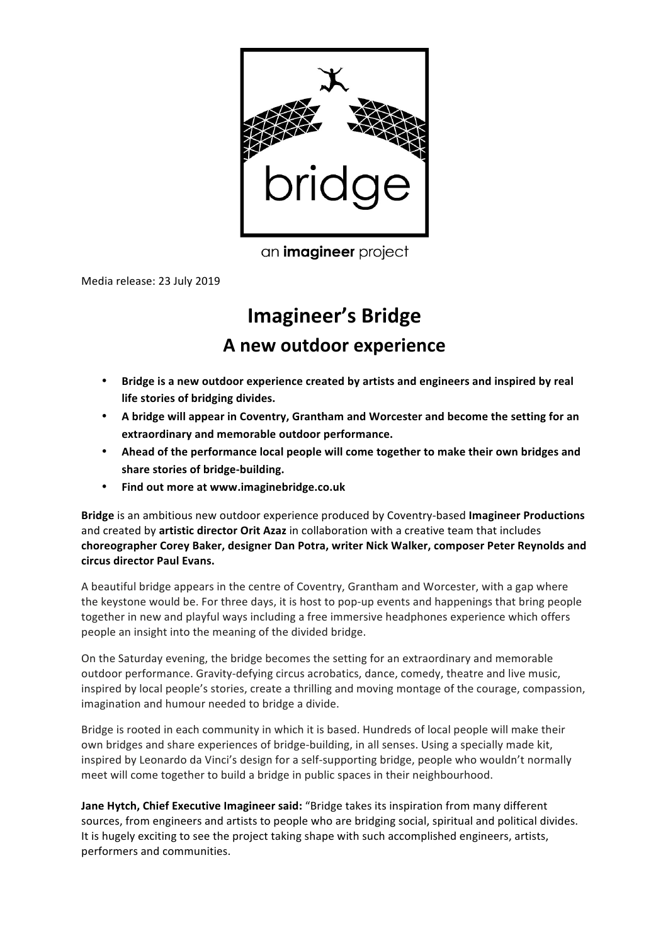

an *imagineer* project

Media release: 23 July 2019

# **Imagineer's Bridge A new outdoor experience**

- Bridge is a new outdoor experience created by artists and engineers and inspired by real **life stories of bridging divides.**
- A bridge will appear in Coventry, Grantham and Worcester and become the setting for an extraordinary and memorable outdoor performance.
- Ahead of the performance local people will come together to make their own bridges and share stories of bridge-building.
- **Find out more at www.imaginebridge.co.uk**

**Bridge** is an ambitious new outdoor experience produced by Coventry-based Imagineer Productions and created by **artistic director Orit Azaz** in collaboration with a creative team that includes choreographer Corey Baker, designer Dan Potra, writer Nick Walker, composer Peter Reynolds and **circus director Paul Evans.**

A beautiful bridge appears in the centre of Coventry, Grantham and Worcester, with a gap where the keystone would be. For three days, it is host to pop-up events and happenings that bring people together in new and playful ways including a free immersive headphones experience which offers people an insight into the meaning of the divided bridge.

On the Saturday evening, the bridge becomes the setting for an extraordinary and memorable outdoor performance. Gravity-defying circus acrobatics, dance, comedy, theatre and live music, inspired by local people's stories, create a thrilling and moving montage of the courage, compassion, imagination and humour needed to bridge a divide.

Bridge is rooted in each community in which it is based. Hundreds of local people will make their own bridges and share experiences of bridge-building, in all senses. Using a specially made kit, inspired by Leonardo da Vinci's design for a self-supporting bridge, people who wouldn't normally meet will come together to build a bridge in public spaces in their neighbourhood.

**Jane Hytch, Chief Executive Imagineer said:** "Bridge takes its inspiration from many different sources, from engineers and artists to people who are bridging social, spiritual and political divides. It is hugely exciting to see the project taking shape with such accomplished engineers, artists, performers and communities.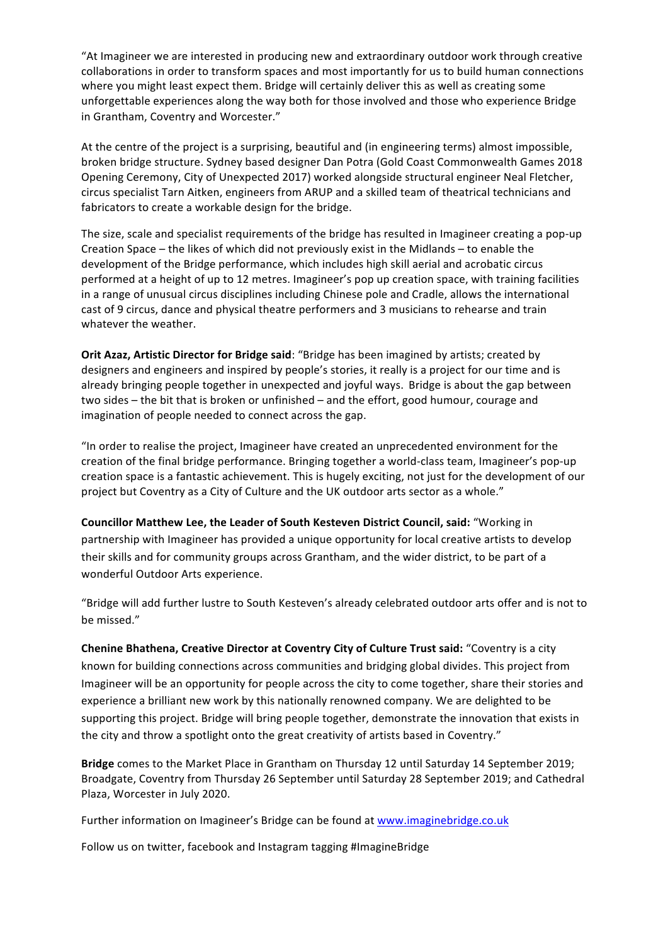"At Imagineer we are interested in producing new and extraordinary outdoor work through creative collaborations in order to transform spaces and most importantly for us to build human connections where you might least expect them. Bridge will certainly deliver this as well as creating some unforgettable experiences along the way both for those involved and those who experience Bridge in Grantham, Coventry and Worcester."

At the centre of the project is a surprising, beautiful and (in engineering terms) almost impossible, broken bridge structure. Sydney based designer Dan Potra (Gold Coast Commonwealth Games 2018 Opening Ceremony, City of Unexpected 2017) worked alongside structural engineer Neal Fletcher, circus specialist Tarn Aitken, engineers from ARUP and a skilled team of theatrical technicians and fabricators to create a workable design for the bridge.

The size, scale and specialist requirements of the bridge has resulted in Imagineer creating a pop-up Creation Space – the likes of which did not previously exist in the Midlands – to enable the development of the Bridge performance, which includes high skill aerial and acrobatic circus performed at a height of up to 12 metres. Imagineer's pop up creation space, with training facilities in a range of unusual circus disciplines including Chinese pole and Cradle, allows the international cast of 9 circus, dance and physical theatre performers and 3 musicians to rehearse and train whatever the weather.

**Orit Azaz, Artistic Director for Bridge said:** "Bridge has been imagined by artists; created by designers and engineers and inspired by people's stories, it really is a project for our time and is already bringing people together in unexpected and joyful ways. Bridge is about the gap between two sides – the bit that is broken or unfinished – and the effort, good humour, courage and imagination of people needed to connect across the gap.

"In order to realise the project, Imagineer have created an unprecedented environment for the creation of the final bridge performance. Bringing together a world-class team, Imagineer's pop-up creation space is a fantastic achievement. This is hugely exciting, not just for the development of our project but Coventry as a City of Culture and the UK outdoor arts sector as a whole."

**Councillor Matthew Lee, the Leader of South Kesteven District Council, said: "Working in** partnership with Imagineer has provided a unique opportunity for local creative artists to develop their skills and for community groups across Grantham, and the wider district, to be part of a wonderful Outdoor Arts experience.

"Bridge will add further lustre to South Kesteven's already celebrated outdoor arts offer and is not to be missed."

**Chenine Bhathena, Creative Director at Coventry City of Culture Trust said:** "Coventry is a city known for building connections across communities and bridging global divides. This project from Imagineer will be an opportunity for people across the city to come together, share their stories and experience a brilliant new work by this nationally renowned company. We are delighted to be supporting this project. Bridge will bring people together, demonstrate the innovation that exists in the city and throw a spotlight onto the great creativity of artists based in Coventry."

**Bridge** comes to the Market Place in Grantham on Thursday 12 until Saturday 14 September 2019; Broadgate, Coventry from Thursday 26 September until Saturday 28 September 2019; and Cathedral Plaza, Worcester in July 2020.

Further information on Imagineer's Bridge can be found at www.imaginebridge.co.uk

Follow us on twitter, facebook and Instagram tagging #ImagineBridge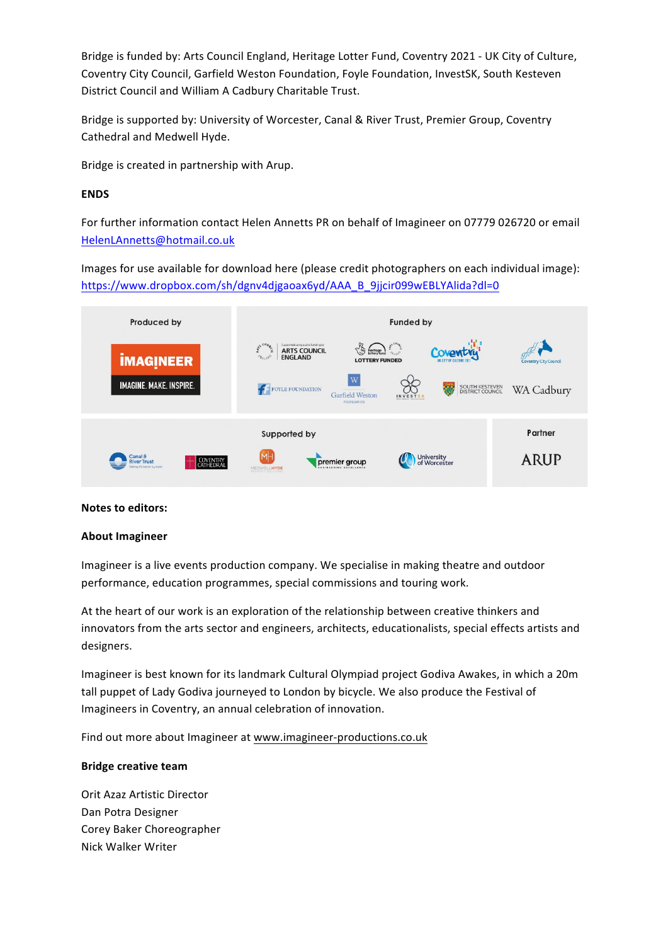Bridge is funded by: Arts Council England, Heritage Lotter Fund, Coventry 2021 - UK City of Culture, Coventry City Council, Garfield Weston Foundation, Foyle Foundation, InvestSK, South Kesteven District Council and William A Cadbury Charitable Trust.

Bridge is supported by: University of Worcester, Canal & River Trust, Premier Group, Coventry Cathedral and Medwell Hyde.

Bridge is created in partnership with Arup.

## **ENDS**

For further information contact Helen Annetts PR on behalf of Imagineer on 07779 026720 or email HelenLAnnetts@hotmail.co.uk

Images for use available for download here (please credit photographers on each individual image): https://www.dropbox.com/sh/dgnv4djgaoax6yd/AAA\_B\_9jjcir099wEBLYAlida?dl=0



## **Notes to editors:**

#### **About Imagineer**

Imagineer is a live events production company. We specialise in making theatre and outdoor performance, education programmes, special commissions and touring work.

At the heart of our work is an exploration of the relationship between creative thinkers and innovators from the arts sector and engineers, architects, educationalists, special effects artists and designers.

Imagineer is best known for its landmark Cultural Olympiad project Godiva Awakes, in which a 20m tall puppet of Lady Godiva journeyed to London by bicycle. We also produce the Festival of Imagineers in Coventry, an annual celebration of innovation.

Find out more about Imagineer at www.imagineer-productions.co.uk

## **Bridge creative team**

Orit Azaz Artistic Director Dan Potra Designer Corey Baker Choreographer Nick Walker Writer